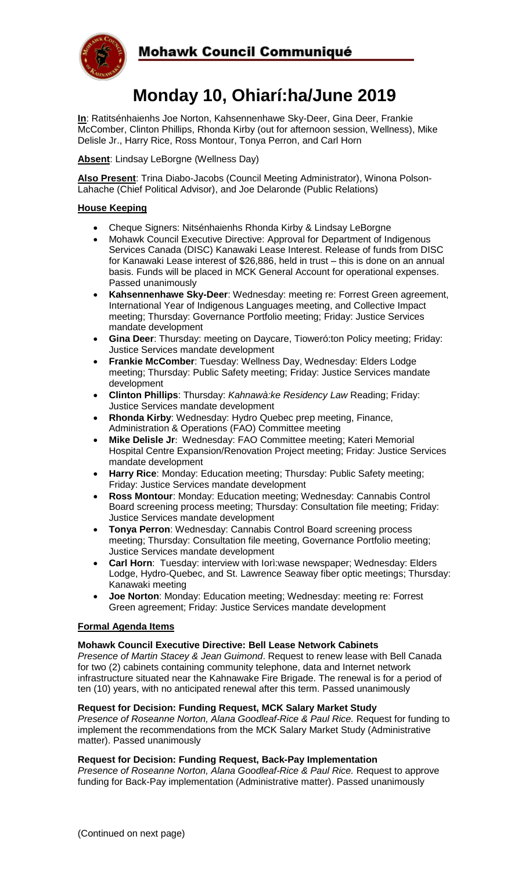

# **Monday 10, Ohiarí:ha/June 2019**

**In**: Ratitsénhaienhs Joe Norton, Kahsennenhawe Sky-Deer, Gina Deer, Frankie McComber, Clinton Phillips, Rhonda Kirby (out for afternoon session, Wellness), Mike Delisle Jr., Harry Rice, Ross Montour, Tonya Perron, and Carl Horn

**Absent**: Lindsay LeBorgne (Wellness Day)

**Also Present**: Trina Diabo-Jacobs (Council Meeting Administrator), Winona Polson-Lahache (Chief Political Advisor), and Joe Delaronde (Public Relations)

## **House Keeping**

- Cheque Signers: Nitsénhaienhs Rhonda Kirby & Lindsay LeBorgne
- Mohawk Council Executive Directive: Approval for Department of Indigenous Services Canada (DISC) Kanawaki Lease Interest. Release of funds from DISC for Kanawaki Lease interest of \$26,886, held in trust – this is done on an annual basis. Funds will be placed in MCK General Account for operational expenses. Passed unanimously
- **Kahsennenhawe Sky-Deer**: Wednesday: meeting re: Forrest Green agreement, International Year of Indigenous Languages meeting, and Collective Impact meeting; Thursday: Governance Portfolio meeting; Friday: Justice Services mandate development
- **Gina Deer**: Thursday: meeting on Daycare, Tioweró:ton Policy meeting; Friday: Justice Services mandate development
- **Frankie McComber**: Tuesday: Wellness Day, Wednesday: Elders Lodge meeting; Thursday: Public Safety meeting; Friday: Justice Services mandate development
- **Clinton Phillips**: Thursday: *Kahnawà:ke Residency Law* Reading; Friday: Justice Services mandate development
- **Rhonda Kirby**: Wednesday: Hydro Quebec prep meeting, Finance, Administration & Operations (FAO) Committee meeting
- **Mike Delisle Jr**: Wednesday: FAO Committee meeting; Kateri Memorial Hospital Centre Expansion/Renovation Project meeting; Friday: Justice Services mandate development
- **Harry Rice**: Monday: Education meeting; Thursday: Public Safety meeting; Friday: Justice Services mandate development
- **Ross Montour**: Monday: Education meeting; Wednesday: Cannabis Control Board screening process meeting; Thursday: Consultation file meeting; Friday: Justice Services mandate development
- **Tonya Perron**: Wednesday: Cannabis Control Board screening process meeting; Thursday: Consultation file meeting, Governance Portfolio meeting; Justice Services mandate development
- **Carl Horn**: Tuesday: interview with Iorì:wase newspaper; Wednesday: Elders Lodge, Hydro-Quebec, and St. Lawrence Seaway fiber optic meetings; Thursday: Kanawaki meeting
- **Joe Norton**: Monday: Education meeting; Wednesday: meeting re: Forrest Green agreement; Friday: Justice Services mandate development

## **Formal Agenda Items**

## **Mohawk Council Executive Directive: Bell Lease Network Cabinets**

*Presence of Martin Stacey & Jean Guimond*. Request to renew lease with Bell Canada for two (2) cabinets containing community telephone, data and Internet network infrastructure situated near the Kahnawake Fire Brigade. The renewal is for a period of ten (10) years, with no anticipated renewal after this term. Passed unanimously

## **Request for Decision: Funding Request, MCK Salary Market Study**

*Presence of Roseanne Norton, Alana Goodleaf-Rice & Paul Rice.* Request for funding to implement the recommendations from the MCK Salary Market Study (Administrative matter). Passed unanimously

## **Request for Decision: Funding Request, Back-Pay Implementation**

*Presence of Roseanne Norton, Alana Goodleaf-Rice & Paul Rice.* Request to approve funding for Back-Pay implementation (Administrative matter). Passed unanimously